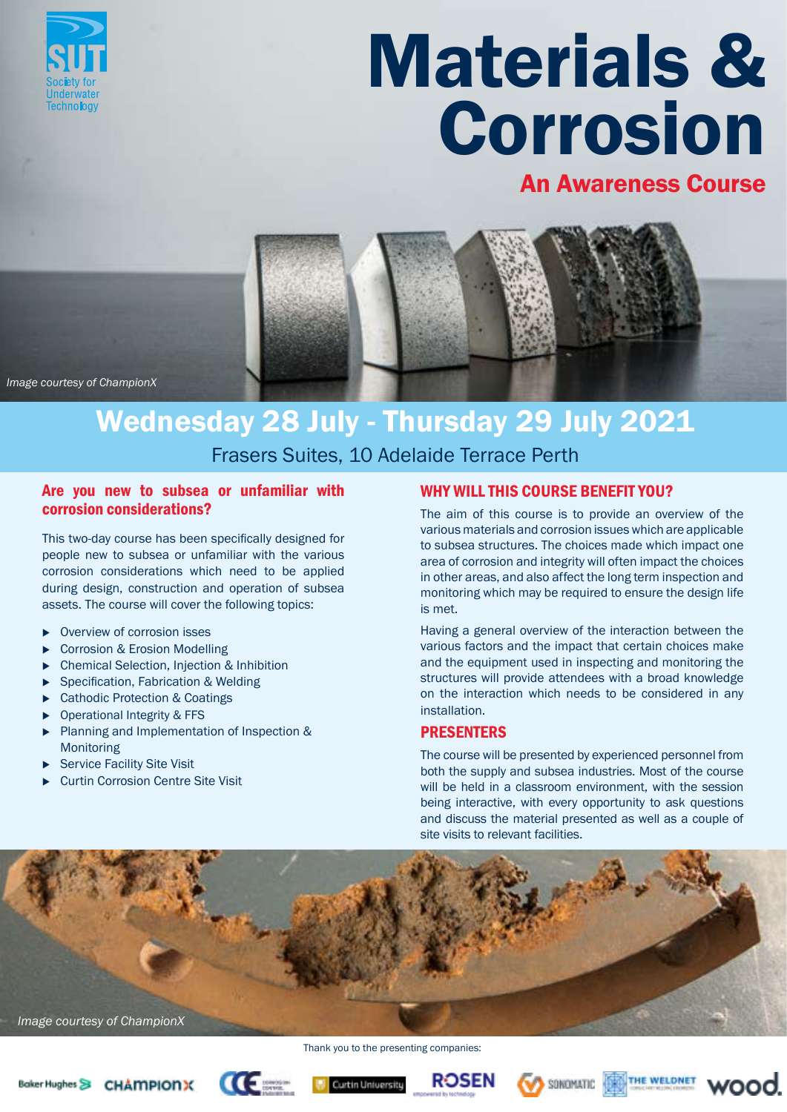

# Materials & Corrosion

### An Awareness Course



*Image courtesy of ChampionX*

## Wednesday 28 July - Thursday 29 July 2021

Frasers Suites, 10 Adelaide Terrace Perth

#### Are you new to subsea or unfamiliar with corrosion considerations?

This two-day course has been specifically designed for people new to subsea or unfamiliar with the various corrosion considerations which need to be applied during design, construction and operation of subsea assets. The course will cover the following topics:

- $\triangleright$  Overview of corrosion isses
- ▶ Corrosion & Erosion Modelling
- <sup>u</sup> Chemical Selection, Injection & Inhibition
- ▶ Specification, Fabrication & Welding
- Cathodic Protection & Coatings
- Operational Integrity & FFS
- <sup>u</sup> Planning and Implementation of Inspection & Monitoring
- Service Facility Site Visit
- **Curtin Corrosion Centre Site Visit**

#### WHY WILL THIS COURSE BENEFIT YOU?

The aim of this course is to provide an overview of the various materials and corrosion issues which are applicable to subsea structures. The choices made which impact one area of corrosion and integrity will often impact the choices in other areas, and also affect the long term inspection and monitoring which may be required to ensure the design life is met.

Having a general overview of the interaction between the various factors and the impact that certain choices make and the equipment used in inspecting and monitoring the structures will provide attendees with a broad knowledge on the interaction which needs to be considered in any installation.

#### **PRESENTERS**

The course will be presented by experienced personnel from both the supply and subsea industries. Most of the course will be held in a classroom environment, with the session being interactive, with every opportunity to ask questions and discuss the material presented as well as a couple of site visits to relevant facilities.



Thank you to the presenting companies: